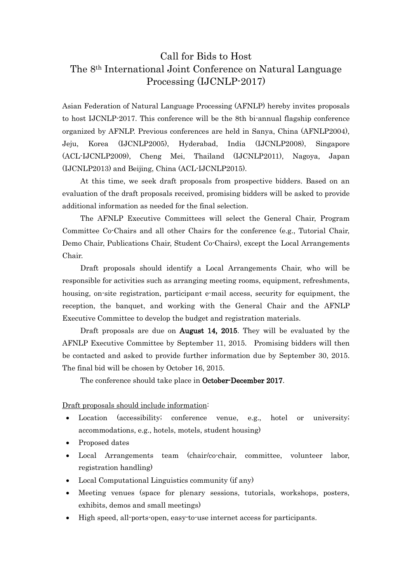## Call for Bids to Host The 8th International Joint Conference on Natural Language Processing (IJCNLP-2017)

Asian Federation of Natural Language Processing (AFNLP) hereby invites proposals to host IJCNLP-2017. This conference will be the 8th bi-annual flagship conference organized by AFNLP. Previous conferences are held in Sanya, China (AFNLP2004), Jeju, Korea (IJCNLP2005), Hyderabad, India (IJCNLP2008), Singapore (ACL-IJCNLP2009), Cheng Mei, Thailand (IJCNLP2011), Nagoya, Japan (IJCNLP2013) and Beijing, China (ACL-IJCNLP2015).

 At this time, we seek draft proposals from prospective bidders. Based on an evaluation of the draft proposals received, promising bidders will be asked to provide additional information as needed for the final selection.

 The AFNLP Executive Committees will select the General Chair, Program Committee Co-Chairs and all other Chairs for the conference (e.g., Tutorial Chair, Demo Chair, Publications Chair, Student Co-Chairs), except the Local Arrangements Chair.

 Draft proposals should identify a Local Arrangements Chair, who will be responsible for activities such as arranging meeting rooms, equipment, refreshments, housing, on-site registration, participant e-mail access, security for equipment, the reception, the banquet, and working with the General Chair and the AFNLP Executive Committee to develop the budget and registration materials.

Draft proposals are due on **August 14, 2015**. They will be evaluated by the AFNLP Executive Committee by September 11, 2015. Promising bidders will then be contacted and asked to provide further information due by September 30, 2015. The final bid will be chosen by October 16, 2015.

The conference should take place in **October-December 2017**.

## Draft proposals should include information:

- Location (accessibility; conference venue, e.g., hotel or university; accommodations, e.g., hotels, motels, student housing)
- Proposed dates
- Local Arrangements team (chair/co-chair, committee, volunteer labor, registration handling)
- Local Computational Linguistics community (if any)
- Meeting venues (space for plenary sessions, tutorials, workshops, posters, exhibits, demos and small meetings)
- High speed, all-ports-open, easy-to-use internet access for participants.